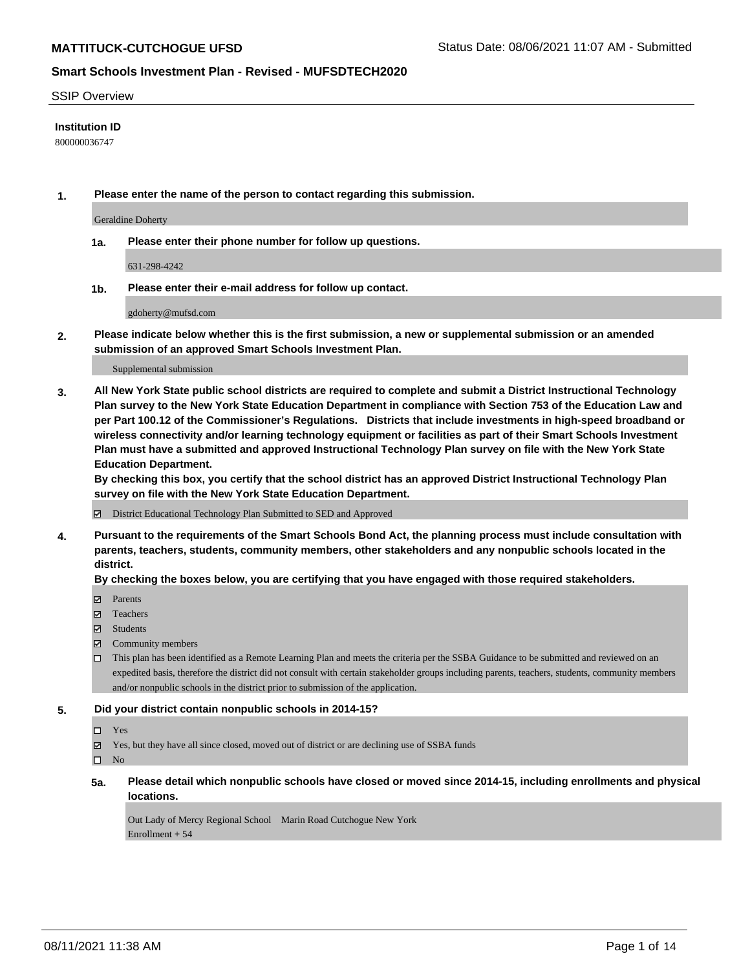#### SSIP Overview

#### **Institution ID**

800000036747

**1. Please enter the name of the person to contact regarding this submission.**

Geraldine Doherty

**1a. Please enter their phone number for follow up questions.**

631-298-4242

**1b. Please enter their e-mail address for follow up contact.**

gdoherty@mufsd.com

**2. Please indicate below whether this is the first submission, a new or supplemental submission or an amended submission of an approved Smart Schools Investment Plan.**

#### Supplemental submission

**3. All New York State public school districts are required to complete and submit a District Instructional Technology Plan survey to the New York State Education Department in compliance with Section 753 of the Education Law and per Part 100.12 of the Commissioner's Regulations. Districts that include investments in high-speed broadband or wireless connectivity and/or learning technology equipment or facilities as part of their Smart Schools Investment Plan must have a submitted and approved Instructional Technology Plan survey on file with the New York State Education Department.** 

**By checking this box, you certify that the school district has an approved District Instructional Technology Plan survey on file with the New York State Education Department.**

District Educational Technology Plan Submitted to SED and Approved

**4. Pursuant to the requirements of the Smart Schools Bond Act, the planning process must include consultation with parents, teachers, students, community members, other stakeholders and any nonpublic schools located in the district.** 

#### **By checking the boxes below, you are certifying that you have engaged with those required stakeholders.**

- **Parents**
- Teachers
- Students
- $\boxtimes$  Community members
- This plan has been identified as a Remote Learning Plan and meets the criteria per the SSBA Guidance to be submitted and reviewed on an expedited basis, therefore the district did not consult with certain stakeholder groups including parents, teachers, students, community members and/or nonpublic schools in the district prior to submission of the application.
- **5. Did your district contain nonpublic schools in 2014-15?**
	- □ Yes
	- Yes, but they have all since closed, moved out of district or are declining use of SSBA funds

 $\Box$  No

**5a. Please detail which nonpublic schools have closed or moved since 2014-15, including enrollments and physical locations.**

Out Lady of Mercy Regional School Marin Road Cutchogue New York Enrollment + 54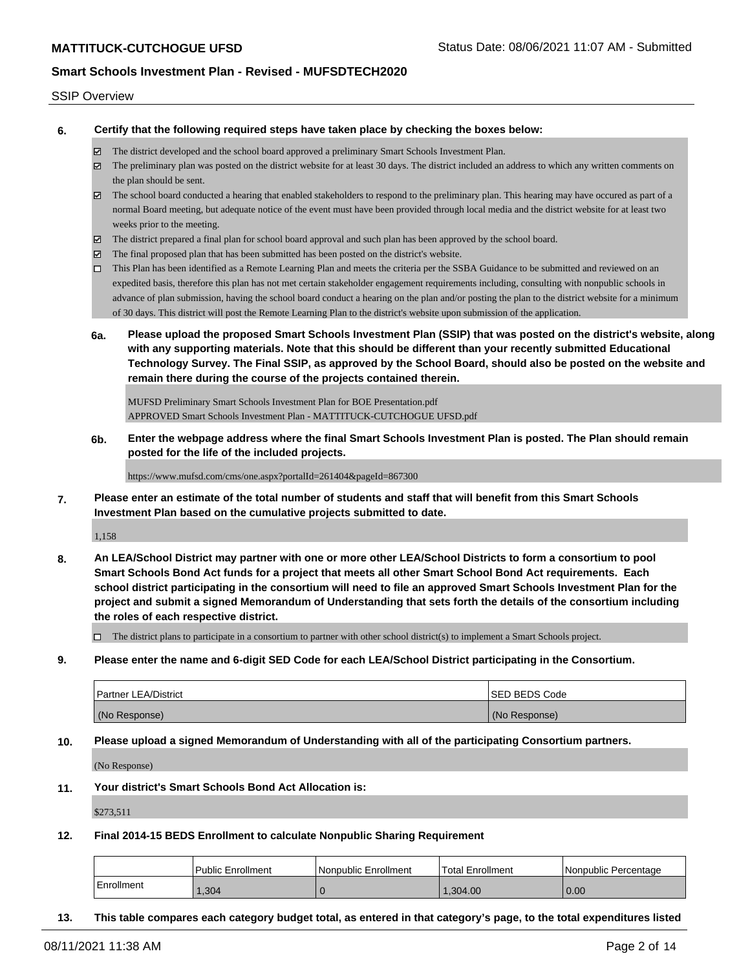#### SSIP Overview

**6. Certify that the following required steps have taken place by checking the boxes below:**

- The district developed and the school board approved a preliminary Smart Schools Investment Plan.
- The preliminary plan was posted on the district website for at least 30 days. The district included an address to which any written comments on the plan should be sent.
- $\boxtimes$  The school board conducted a hearing that enabled stakeholders to respond to the preliminary plan. This hearing may have occured as part of a normal Board meeting, but adequate notice of the event must have been provided through local media and the district website for at least two weeks prior to the meeting.
- The district prepared a final plan for school board approval and such plan has been approved by the school board.
- $\boxtimes$  The final proposed plan that has been submitted has been posted on the district's website.
- This Plan has been identified as a Remote Learning Plan and meets the criteria per the SSBA Guidance to be submitted and reviewed on an expedited basis, therefore this plan has not met certain stakeholder engagement requirements including, consulting with nonpublic schools in advance of plan submission, having the school board conduct a hearing on the plan and/or posting the plan to the district website for a minimum of 30 days. This district will post the Remote Learning Plan to the district's website upon submission of the application.
- **6a. Please upload the proposed Smart Schools Investment Plan (SSIP) that was posted on the district's website, along with any supporting materials. Note that this should be different than your recently submitted Educational Technology Survey. The Final SSIP, as approved by the School Board, should also be posted on the website and remain there during the course of the projects contained therein.**

MUFSD Preliminary Smart Schools Investment Plan for BOE Presentation.pdf APPROVED Smart Schools Investment Plan - MATTITUCK-CUTCHOGUE UFSD.pdf

**6b. Enter the webpage address where the final Smart Schools Investment Plan is posted. The Plan should remain posted for the life of the included projects.**

https://www.mufsd.com/cms/one.aspx?portalId=261404&pageId=867300

**7. Please enter an estimate of the total number of students and staff that will benefit from this Smart Schools Investment Plan based on the cumulative projects submitted to date.**

1,158

**8. An LEA/School District may partner with one or more other LEA/School Districts to form a consortium to pool Smart Schools Bond Act funds for a project that meets all other Smart School Bond Act requirements. Each school district participating in the consortium will need to file an approved Smart Schools Investment Plan for the project and submit a signed Memorandum of Understanding that sets forth the details of the consortium including the roles of each respective district.**

 $\Box$  The district plans to participate in a consortium to partner with other school district(s) to implement a Smart Schools project.

**9. Please enter the name and 6-digit SED Code for each LEA/School District participating in the Consortium.**

| <b>Partner LEA/District</b> | ISED BEDS Code |
|-----------------------------|----------------|
| (No Response)               | (No Response)  |

**10. Please upload a signed Memorandum of Understanding with all of the participating Consortium partners.**

(No Response)

**11. Your district's Smart Schools Bond Act Allocation is:**

\$273,511

**12. Final 2014-15 BEDS Enrollment to calculate Nonpublic Sharing Requirement**

|            | <b>Public Enrollment</b> | Nonpublic Enrollment | Total Enrollment | Nonpublic Percentage |
|------------|--------------------------|----------------------|------------------|----------------------|
| Enrollment | ,304                     |                      | 1.304.00         | 0.00                 |

**13. This table compares each category budget total, as entered in that category's page, to the total expenditures listed**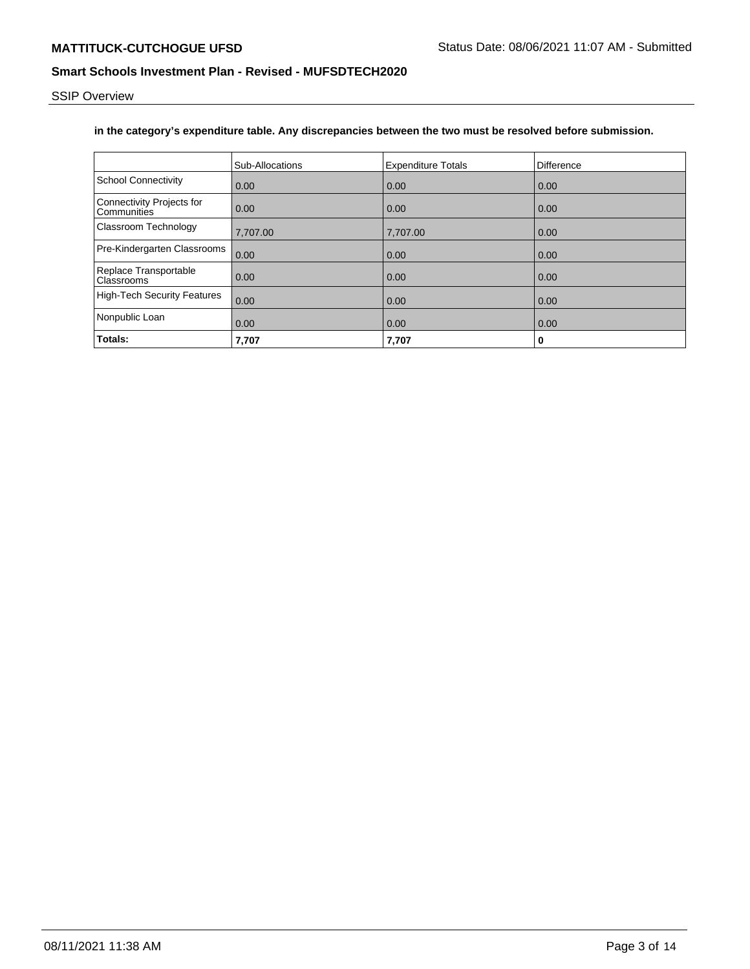SSIP Overview

# **in the category's expenditure table. Any discrepancies between the two must be resolved before submission.**

|                                            | Sub-Allocations | <b>Expenditure Totals</b> | Difference |
|--------------------------------------------|-----------------|---------------------------|------------|
| <b>School Connectivity</b>                 | 0.00            | 0.00                      | 0.00       |
| Connectivity Projects for<br>Communities   | 0.00            | 0.00                      | 0.00       |
| <b>Classroom Technology</b>                | 7,707.00        | 7,707.00                  | 0.00       |
| Pre-Kindergarten Classrooms                | 0.00            | 0.00                      | 0.00       |
| Replace Transportable<br><b>Classrooms</b> | 0.00            | 0.00                      | 0.00       |
| High-Tech Security Features                | 0.00            | 0.00                      | 0.00       |
| Nonpublic Loan                             | 0.00            | 0.00                      | 0.00       |
| Totals:                                    | 7,707           | 7,707                     | 0          |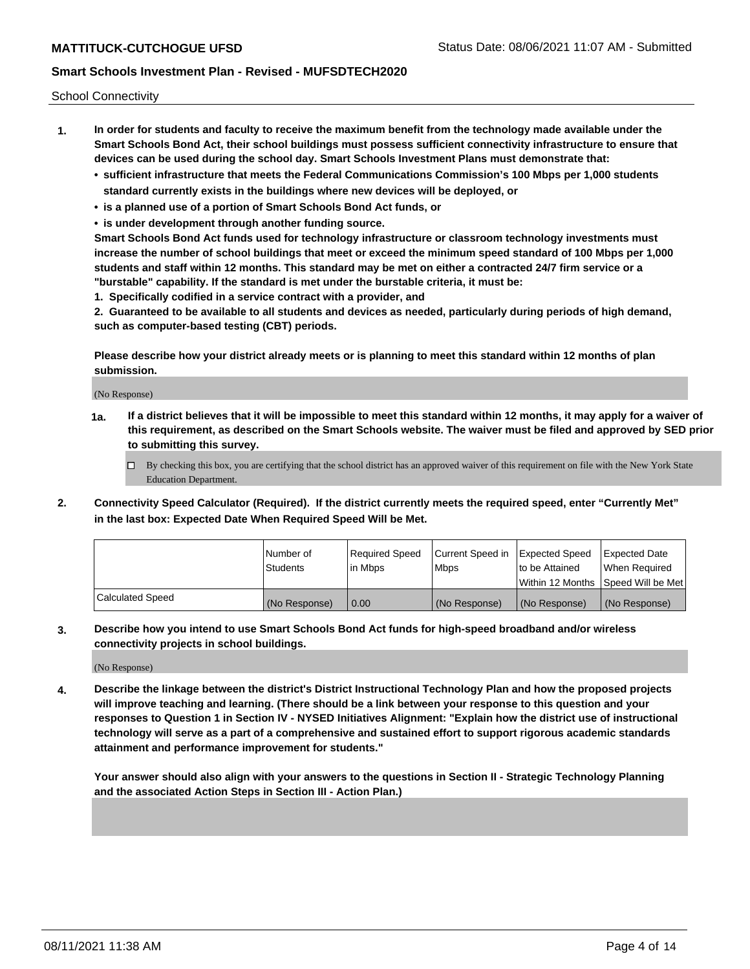School Connectivity

- **1. In order for students and faculty to receive the maximum benefit from the technology made available under the Smart Schools Bond Act, their school buildings must possess sufficient connectivity infrastructure to ensure that devices can be used during the school day. Smart Schools Investment Plans must demonstrate that:**
	- **• sufficient infrastructure that meets the Federal Communications Commission's 100 Mbps per 1,000 students standard currently exists in the buildings where new devices will be deployed, or**
	- **• is a planned use of a portion of Smart Schools Bond Act funds, or**
	- **• is under development through another funding source.**

**Smart Schools Bond Act funds used for technology infrastructure or classroom technology investments must increase the number of school buildings that meet or exceed the minimum speed standard of 100 Mbps per 1,000 students and staff within 12 months. This standard may be met on either a contracted 24/7 firm service or a "burstable" capability. If the standard is met under the burstable criteria, it must be:**

**1. Specifically codified in a service contract with a provider, and**

**2. Guaranteed to be available to all students and devices as needed, particularly during periods of high demand, such as computer-based testing (CBT) periods.**

**Please describe how your district already meets or is planning to meet this standard within 12 months of plan submission.**

(No Response)

**1a. If a district believes that it will be impossible to meet this standard within 12 months, it may apply for a waiver of this requirement, as described on the Smart Schools website. The waiver must be filed and approved by SED prior to submitting this survey.**

 $\Box$  By checking this box, you are certifying that the school district has an approved waiver of this requirement on file with the New York State Education Department.

**2. Connectivity Speed Calculator (Required). If the district currently meets the required speed, enter "Currently Met" in the last box: Expected Date When Required Speed Will be Met.**

|                  | l Number of     | Required Speed | Current Speed in | Expected Speed  | <b>Expected Date</b>                    |
|------------------|-----------------|----------------|------------------|-----------------|-----------------------------------------|
|                  | <b>Students</b> | In Mbps        | l Mbps           | Ito be Attained | When Required                           |
|                  |                 |                |                  |                 | l Within 12 Months ISpeed Will be Met l |
| Calculated Speed | (No Response)   | 0.00           | (No Response)    | (No Response)   | (No Response)                           |

**3. Describe how you intend to use Smart Schools Bond Act funds for high-speed broadband and/or wireless connectivity projects in school buildings.**

(No Response)

**4. Describe the linkage between the district's District Instructional Technology Plan and how the proposed projects will improve teaching and learning. (There should be a link between your response to this question and your responses to Question 1 in Section IV - NYSED Initiatives Alignment: "Explain how the district use of instructional technology will serve as a part of a comprehensive and sustained effort to support rigorous academic standards attainment and performance improvement for students."** 

**Your answer should also align with your answers to the questions in Section II - Strategic Technology Planning and the associated Action Steps in Section III - Action Plan.)**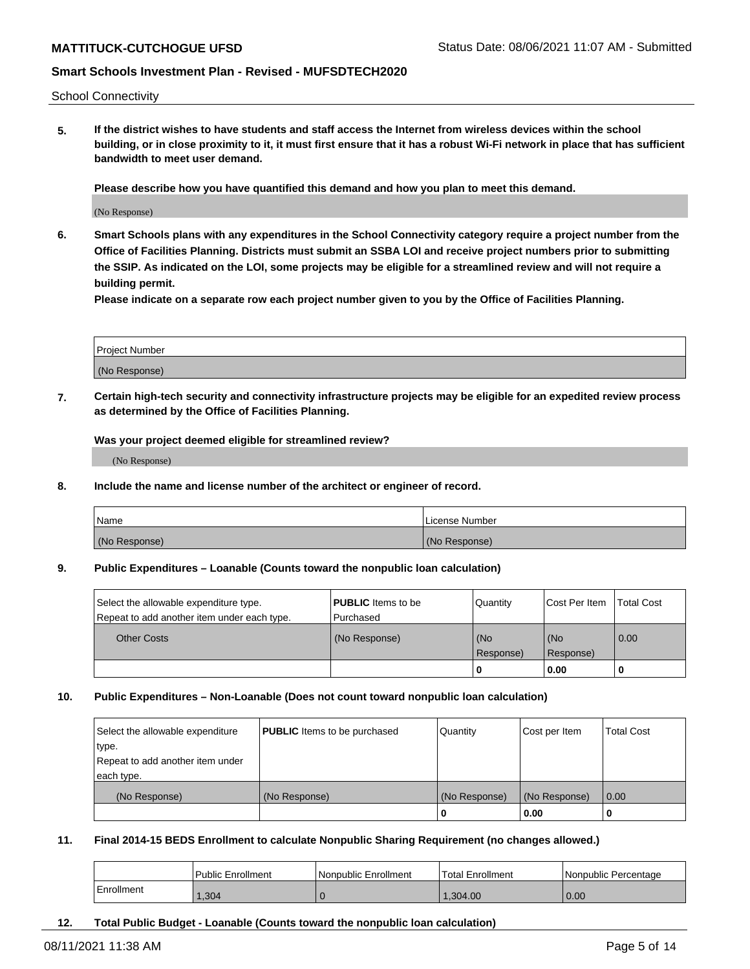School Connectivity

**5. If the district wishes to have students and staff access the Internet from wireless devices within the school building, or in close proximity to it, it must first ensure that it has a robust Wi-Fi network in place that has sufficient bandwidth to meet user demand.**

**Please describe how you have quantified this demand and how you plan to meet this demand.**

(No Response)

**6. Smart Schools plans with any expenditures in the School Connectivity category require a project number from the Office of Facilities Planning. Districts must submit an SSBA LOI and receive project numbers prior to submitting the SSIP. As indicated on the LOI, some projects may be eligible for a streamlined review and will not require a building permit.**

**Please indicate on a separate row each project number given to you by the Office of Facilities Planning.**

| Project Number |  |
|----------------|--|
|                |  |
| (No Response)  |  |

**7. Certain high-tech security and connectivity infrastructure projects may be eligible for an expedited review process as determined by the Office of Facilities Planning.**

**Was your project deemed eligible for streamlined review?**

(No Response)

**8. Include the name and license number of the architect or engineer of record.**

| Name          | License Number |
|---------------|----------------|
| (No Response) | (No Response)  |

#### **9. Public Expenditures – Loanable (Counts toward the nonpublic loan calculation)**

| Select the allowable expenditure type.      | <b>PUBLIC</b> Items to be | Quantity         | <b>ICost Per Item</b> | Total Cost |
|---------------------------------------------|---------------------------|------------------|-----------------------|------------|
| Repeat to add another item under each type. | l Purchased               |                  |                       |            |
| <b>Other Costs</b>                          | (No Response)             | (No<br>Response) | (No<br>Response)      | 0.00       |
|                                             |                           | O                | 0.00                  |            |

#### **10. Public Expenditures – Non-Loanable (Does not count toward nonpublic loan calculation)**

| Select the allowable expenditure<br>type.<br>Repeat to add another item under | <b>PUBLIC</b> Items to be purchased | Quantity      | Cost per Item | <b>Total Cost</b> |
|-------------------------------------------------------------------------------|-------------------------------------|---------------|---------------|-------------------|
| each type.<br>(No Response)                                                   | (No Response)                       | (No Response) | (No Response) | 0.00              |
|                                                                               |                                     | 0             | 0.00          |                   |

#### **11. Final 2014-15 BEDS Enrollment to calculate Nonpublic Sharing Requirement (no changes allowed.)**

|            | <b>Public Enrollment</b> | Nonpublic Enrollment | Total Enrollment | Nonpublic Percentage |
|------------|--------------------------|----------------------|------------------|----------------------|
| Enrollment | .304                     |                      | 1.304.00         | 0.00                 |

**12. Total Public Budget - Loanable (Counts toward the nonpublic loan calculation)**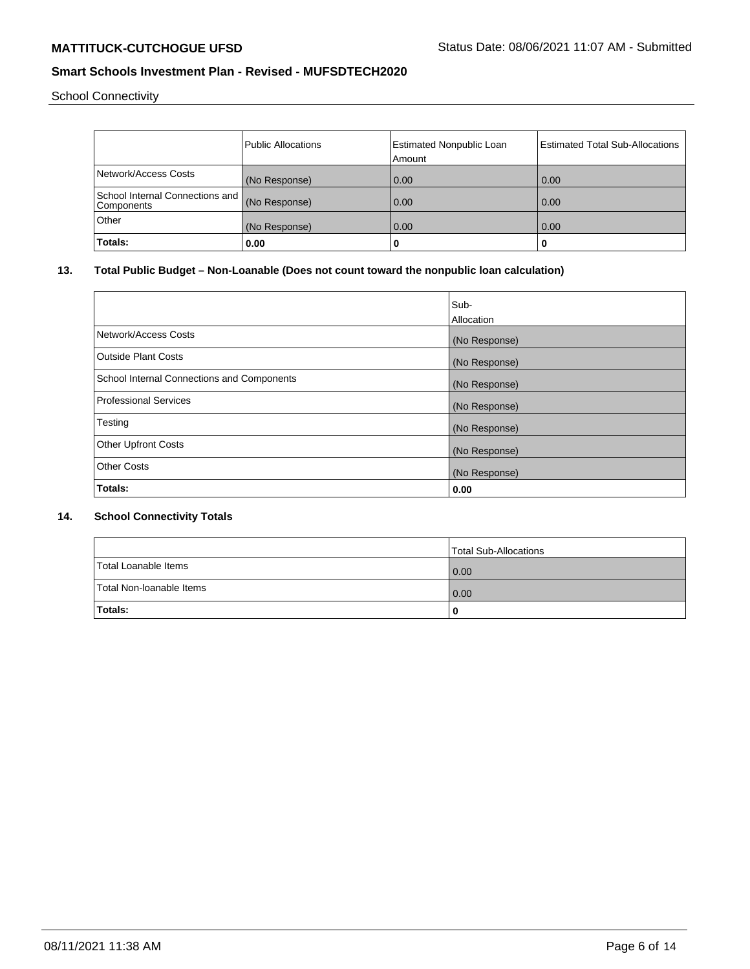School Connectivity

|                                               | <b>Public Allocations</b> | <b>Estimated Nonpublic Loan</b> | <b>Estimated Total Sub-Allocations</b> |
|-----------------------------------------------|---------------------------|---------------------------------|----------------------------------------|
|                                               |                           | Amount                          |                                        |
| Network/Access Costs                          | (No Response)             | 0.00                            | 0.00                                   |
| School Internal Connections and<br>Components | (No Response)             | 0.00                            | 0.00                                   |
| Other                                         | (No Response)             | 0.00                            | 0.00                                   |
| Totals:                                       | 0.00                      | 0                               | u                                      |

# **13. Total Public Budget – Non-Loanable (Does not count toward the nonpublic loan calculation)**

|                                            | Sub-          |
|--------------------------------------------|---------------|
|                                            | Allocation    |
| Network/Access Costs                       | (No Response) |
| <b>Outside Plant Costs</b>                 | (No Response) |
| School Internal Connections and Components | (No Response) |
| <b>Professional Services</b>               | (No Response) |
| Testing                                    | (No Response) |
| <b>Other Upfront Costs</b>                 | (No Response) |
| <b>Other Costs</b>                         | (No Response) |
| Totals:                                    | 0.00          |

### **14. School Connectivity Totals**

|                          | Total Sub-Allocations |
|--------------------------|-----------------------|
| Total Loanable Items     | 0.00                  |
| Total Non-Ioanable Items | 0.00                  |
| <b>Totals:</b>           |                       |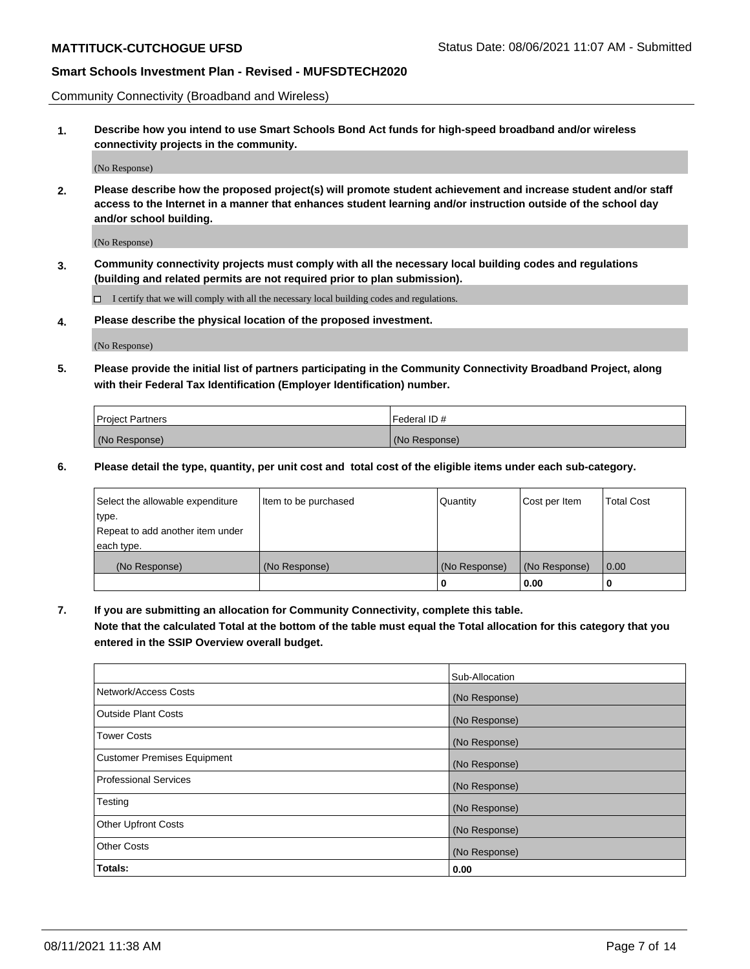Community Connectivity (Broadband and Wireless)

**1. Describe how you intend to use Smart Schools Bond Act funds for high-speed broadband and/or wireless connectivity projects in the community.**

(No Response)

**2. Please describe how the proposed project(s) will promote student achievement and increase student and/or staff access to the Internet in a manner that enhances student learning and/or instruction outside of the school day and/or school building.**

(No Response)

**3. Community connectivity projects must comply with all the necessary local building codes and regulations (building and related permits are not required prior to plan submission).**

 $\Box$  I certify that we will comply with all the necessary local building codes and regulations.

**4. Please describe the physical location of the proposed investment.**

(No Response)

**5. Please provide the initial list of partners participating in the Community Connectivity Broadband Project, along with their Federal Tax Identification (Employer Identification) number.**

| <b>Project Partners</b> | l Federal ID # |
|-------------------------|----------------|
| (No Response)           | (No Response)  |

**6. Please detail the type, quantity, per unit cost and total cost of the eligible items under each sub-category.**

| Select the allowable expenditure | Item to be purchased | Quantity      | Cost per Item | <b>Total Cost</b> |
|----------------------------------|----------------------|---------------|---------------|-------------------|
| type.                            |                      |               |               |                   |
| Repeat to add another item under |                      |               |               |                   |
| each type.                       |                      |               |               |                   |
| (No Response)                    | (No Response)        | (No Response) | (No Response) | 0.00              |
|                                  |                      | o             | 0.00          |                   |

**7. If you are submitting an allocation for Community Connectivity, complete this table.**

**Note that the calculated Total at the bottom of the table must equal the Total allocation for this category that you entered in the SSIP Overview overall budget.**

|                                    | Sub-Allocation |
|------------------------------------|----------------|
| Network/Access Costs               | (No Response)  |
| Outside Plant Costs                | (No Response)  |
| <b>Tower Costs</b>                 | (No Response)  |
| <b>Customer Premises Equipment</b> | (No Response)  |
| <b>Professional Services</b>       | (No Response)  |
| Testing                            | (No Response)  |
| <b>Other Upfront Costs</b>         | (No Response)  |
| <b>Other Costs</b>                 | (No Response)  |
| Totals:                            | 0.00           |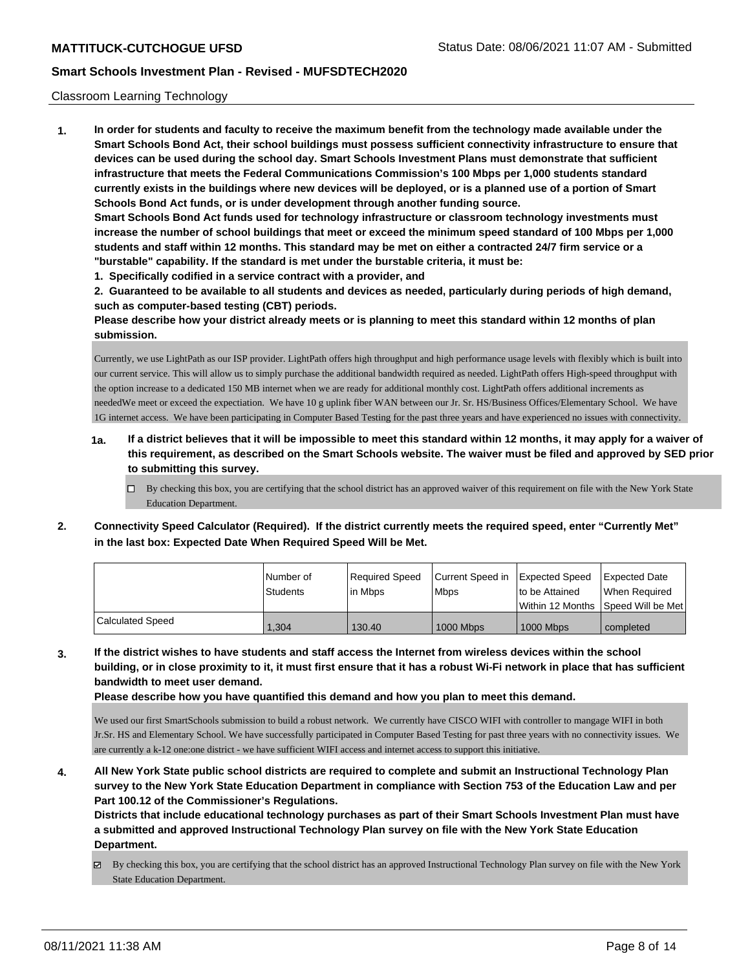#### Classroom Learning Technology

**1. In order for students and faculty to receive the maximum benefit from the technology made available under the Smart Schools Bond Act, their school buildings must possess sufficient connectivity infrastructure to ensure that devices can be used during the school day. Smart Schools Investment Plans must demonstrate that sufficient infrastructure that meets the Federal Communications Commission's 100 Mbps per 1,000 students standard currently exists in the buildings where new devices will be deployed, or is a planned use of a portion of Smart Schools Bond Act funds, or is under development through another funding source. Smart Schools Bond Act funds used for technology infrastructure or classroom technology investments must increase the number of school buildings that meet or exceed the minimum speed standard of 100 Mbps per 1,000 students and staff within 12 months. This standard may be met on either a contracted 24/7 firm service or a "burstable" capability. If the standard is met under the burstable criteria, it must be:**

**1. Specifically codified in a service contract with a provider, and**

**2. Guaranteed to be available to all students and devices as needed, particularly during periods of high demand, such as computer-based testing (CBT) periods.**

**Please describe how your district already meets or is planning to meet this standard within 12 months of plan submission.**

Currently, we use LightPath as our ISP provider. LightPath offers high throughput and high performance usage levels with flexibly which is built into our current service. This will allow us to simply purchase the additional bandwidth required as needed. LightPath offers High-speed throughput with the option increase to a dedicated 150 MB internet when we are ready for additional monthly cost. LightPath offers additional increments as neededWe meet or exceed the expectiation. We have 10 g uplink fiber WAN between our Jr. Sr. HS/Business Offices/Elementary School. We have 1G internet access. We have been participating in Computer Based Testing for the past three years and have experienced no issues with connectivity.

- **1a. If a district believes that it will be impossible to meet this standard within 12 months, it may apply for a waiver of this requirement, as described on the Smart Schools website. The waiver must be filed and approved by SED prior to submitting this survey.**
	- By checking this box, you are certifying that the school district has an approved waiver of this requirement on file with the New York State Education Department.
- **2. Connectivity Speed Calculator (Required). If the district currently meets the required speed, enter "Currently Met" in the last box: Expected Date When Required Speed Will be Met.**

|                  | INumber of | Required Speed | l Current Speed in | Expected Speed   | <b>Expected Date</b>                 |
|------------------|------------|----------------|--------------------|------------------|--------------------------------------|
|                  | Students   | in Mbps        | <b>Mbps</b>        | Ito be Attained  | When Required                        |
|                  |            |                |                    |                  | Within 12 Months 1Speed Will be Met1 |
| Calculated Speed | 1.304      | 130.40         | <b>1000 Mbps</b>   | <b>1000 Mbps</b> | completed                            |

**3. If the district wishes to have students and staff access the Internet from wireless devices within the school building, or in close proximity to it, it must first ensure that it has a robust Wi-Fi network in place that has sufficient bandwidth to meet user demand.**

**Please describe how you have quantified this demand and how you plan to meet this demand.**

We used our first SmartSchools submission to build a robust network. We currently have CISCO WIFI with controller to mangage WIFI in both Jr.Sr. HS and Elementary School. We have successfully participated in Computer Based Testing for past three years with no connectivity issues. We are currently a k-12 one:one district - we have sufficient WIFI access and internet access to support this initiative.

**4. All New York State public school districts are required to complete and submit an Instructional Technology Plan survey to the New York State Education Department in compliance with Section 753 of the Education Law and per Part 100.12 of the Commissioner's Regulations.**

**Districts that include educational technology purchases as part of their Smart Schools Investment Plan must have a submitted and approved Instructional Technology Plan survey on file with the New York State Education Department.**

By checking this box, you are certifying that the school district has an approved Instructional Technology Plan survey on file with the New York State Education Department.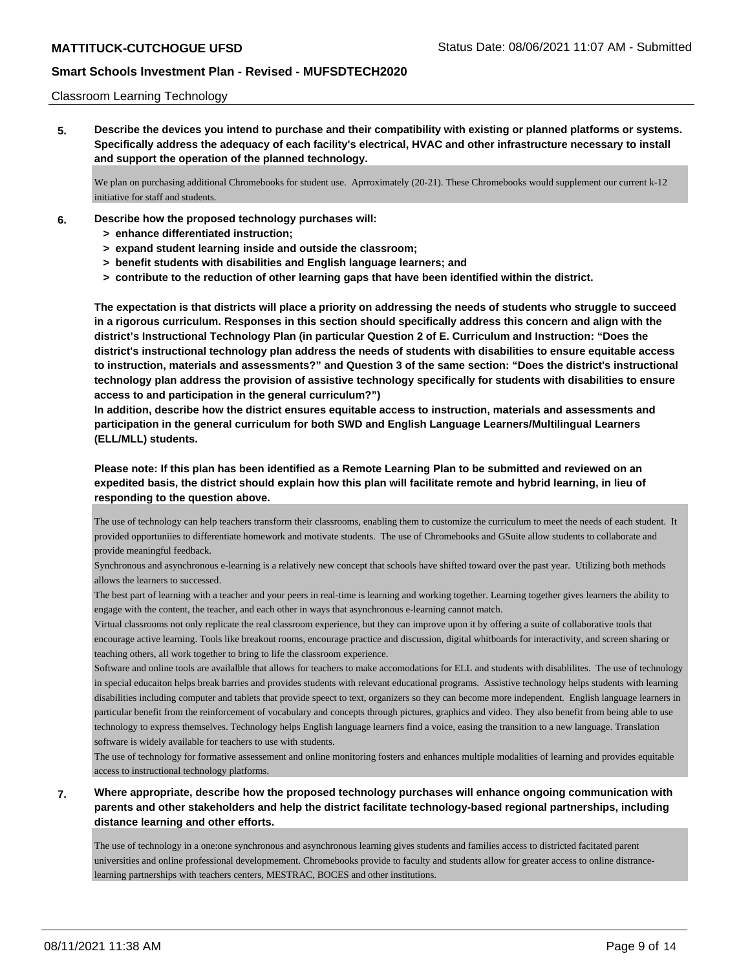#### Classroom Learning Technology

**5. Describe the devices you intend to purchase and their compatibility with existing or planned platforms or systems. Specifically address the adequacy of each facility's electrical, HVAC and other infrastructure necessary to install and support the operation of the planned technology.**

We plan on purchasing additional Chromebooks for student use. Aprroximately (20-21). These Chromebooks would supplement our current k-12 initiative for staff and students.

- **6. Describe how the proposed technology purchases will:**
	- **> enhance differentiated instruction;**
	- **> expand student learning inside and outside the classroom;**
	- **> benefit students with disabilities and English language learners; and**
	- **> contribute to the reduction of other learning gaps that have been identified within the district.**

**The expectation is that districts will place a priority on addressing the needs of students who struggle to succeed in a rigorous curriculum. Responses in this section should specifically address this concern and align with the district's Instructional Technology Plan (in particular Question 2 of E. Curriculum and Instruction: "Does the district's instructional technology plan address the needs of students with disabilities to ensure equitable access to instruction, materials and assessments?" and Question 3 of the same section: "Does the district's instructional technology plan address the provision of assistive technology specifically for students with disabilities to ensure access to and participation in the general curriculum?")**

**In addition, describe how the district ensures equitable access to instruction, materials and assessments and participation in the general curriculum for both SWD and English Language Learners/Multilingual Learners (ELL/MLL) students.**

**Please note: If this plan has been identified as a Remote Learning Plan to be submitted and reviewed on an expedited basis, the district should explain how this plan will facilitate remote and hybrid learning, in lieu of responding to the question above.**

The use of technology can help teachers transform their classrooms, enabling them to customize the curriculum to meet the needs of each student. It provided opportuniies to differentiate homework and motivate students. The use of Chromebooks and GSuite allow students to collaborate and provide meaningful feedback.

Synchronous and asynchronous e-learning is a relatively new concept that schools have shifted toward over the past year. Utilizing both methods allows the learners to successed.

The best part of learning with a teacher and your peers in real-time is learning and working together. Learning together gives learners the ability to engage with the content, the teacher, and each other in ways that asynchronous e-learning cannot match.

Virtual classrooms not only replicate the real classroom experience, but they can improve upon it by offering a suite of collaborative tools that encourage active learning. Tools like breakout rooms, encourage practice and discussion, digital whitboards for interactivity, and screen sharing or teaching others, all work together to bring to life the classroom experience.

Software and online tools are availalble that allows for teachers to make accomodations for ELL and students with disablilites. The use of technology in special educaiton helps break barries and provides students with relevant educational programs. Assistive technology helps students with learning disabilities including computer and tablets that provide speect to text, organizers so they can become more independent. English language learners in particular benefit from the reinforcement of vocabulary and concepts through pictures, graphics and video. They also benefit from being able to use technology to express themselves. Technology helps English language learners find a voice, easing the transition to a new language. Translation software is widely available for teachers to use with students.

The use of technology for formative assessement and online monitoring fosters and enhances multiple modalities of learning and provides equitable access to instructional technology platforms.

**7. Where appropriate, describe how the proposed technology purchases will enhance ongoing communication with parents and other stakeholders and help the district facilitate technology-based regional partnerships, including distance learning and other efforts.**

The use of technology in a one:one synchronous and asynchronous learning gives students and families access to districted facitated parent universities and online professional developmement. Chromebooks provide to faculty and students allow for greater access to online distrancelearning partnerships with teachers centers, MESTRAC, BOCES and other institutions.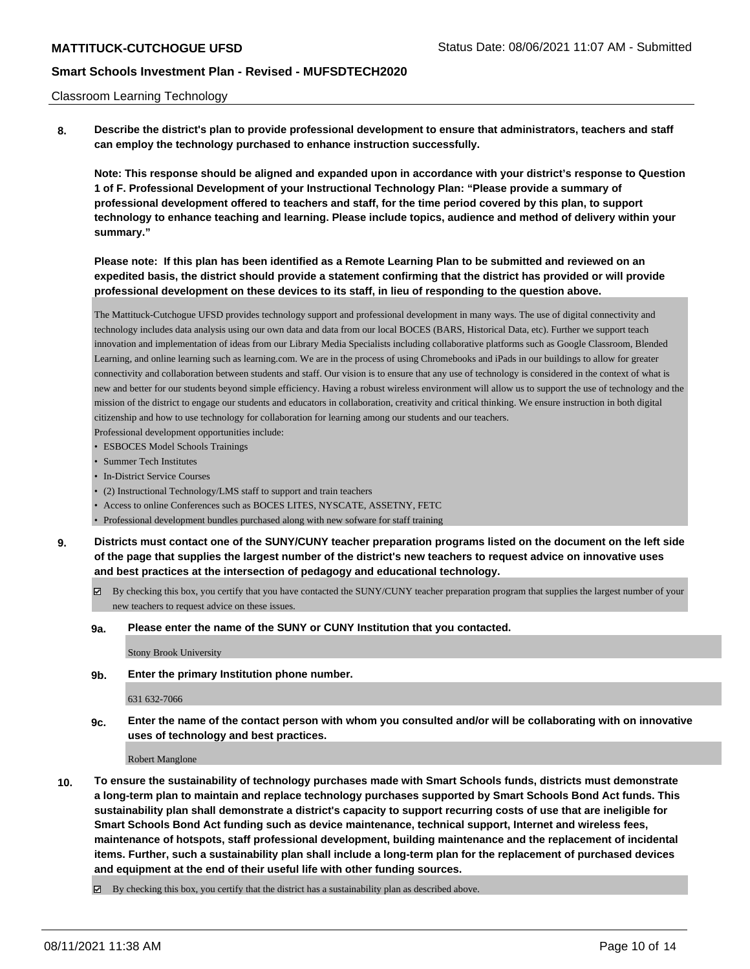#### Classroom Learning Technology

**8. Describe the district's plan to provide professional development to ensure that administrators, teachers and staff can employ the technology purchased to enhance instruction successfully.**

**Note: This response should be aligned and expanded upon in accordance with your district's response to Question 1 of F. Professional Development of your Instructional Technology Plan: "Please provide a summary of professional development offered to teachers and staff, for the time period covered by this plan, to support technology to enhance teaching and learning. Please include topics, audience and method of delivery within your summary."**

# **Please note: If this plan has been identified as a Remote Learning Plan to be submitted and reviewed on an expedited basis, the district should provide a statement confirming that the district has provided or will provide professional development on these devices to its staff, in lieu of responding to the question above.**

The Mattituck-Cutchogue UFSD provides technology support and professional development in many ways. The use of digital connectivity and technology includes data analysis using our own data and data from our local BOCES (BARS, Historical Data, etc). Further we support teach innovation and implementation of ideas from our Library Media Specialists including collaborative platforms such as Google Classroom, Blended Learning, and online learning such as learning.com. We are in the process of using Chromebooks and iPads in our buildings to allow for greater connectivity and collaboration between students and staff. Our vision is to ensure that any use of technology is considered in the context of what is new and better for our students beyond simple efficiency. Having a robust wireless environment will allow us to support the use of technology and the mission of the district to engage our students and educators in collaboration, creativity and critical thinking. We ensure instruction in both digital citizenship and how to use technology for collaboration for learning among our students and our teachers.

Professional development opportunities include:

- ESBOCES Model Schools Trainings
- Summer Tech Institutes
- In-District Service Courses
- (2) Instructional Technology/LMS staff to support and train teachers
- Access to online Conferences such as BOCES LITES, NYSCATE, ASSETNY, FETC
- Professional development bundles purchased along with new sofware for staff training

**9. Districts must contact one of the SUNY/CUNY teacher preparation programs listed on the document on the left side of the page that supplies the largest number of the district's new teachers to request advice on innovative uses and best practices at the intersection of pedagogy and educational technology.**

- By checking this box, you certify that you have contacted the SUNY/CUNY teacher preparation program that supplies the largest number of your new teachers to request advice on these issues.
- **9a. Please enter the name of the SUNY or CUNY Institution that you contacted.**

Stony Brook University

**9b. Enter the primary Institution phone number.**

631 632-7066

**9c. Enter the name of the contact person with whom you consulted and/or will be collaborating with on innovative uses of technology and best practices.**

Robert Manglone

**10. To ensure the sustainability of technology purchases made with Smart Schools funds, districts must demonstrate a long-term plan to maintain and replace technology purchases supported by Smart Schools Bond Act funds. This sustainability plan shall demonstrate a district's capacity to support recurring costs of use that are ineligible for Smart Schools Bond Act funding such as device maintenance, technical support, Internet and wireless fees, maintenance of hotspots, staff professional development, building maintenance and the replacement of incidental items. Further, such a sustainability plan shall include a long-term plan for the replacement of purchased devices and equipment at the end of their useful life with other funding sources.**

By checking this box, you certify that the district has a sustainability plan as described above.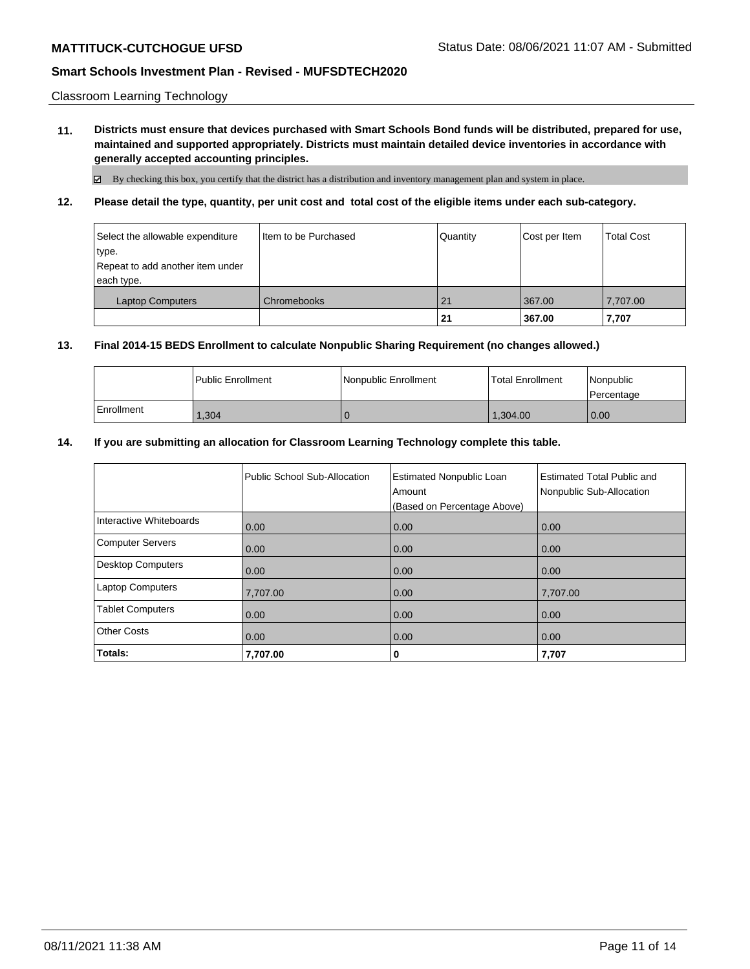Classroom Learning Technology

**11. Districts must ensure that devices purchased with Smart Schools Bond funds will be distributed, prepared for use, maintained and supported appropriately. Districts must maintain detailed device inventories in accordance with generally accepted accounting principles.**

 $\boxtimes$  By checking this box, you certify that the district has a distribution and inventory management plan and system in place.

**12. Please detail the type, quantity, per unit cost and total cost of the eligible items under each sub-category.**

| Select the allowable expenditure<br>type.<br>Repeat to add another item under<br>each type. | Item to be Purchased | Quantity | Cost per Item | <b>Total Cost</b> |
|---------------------------------------------------------------------------------------------|----------------------|----------|---------------|-------------------|
| <b>Laptop Computers</b>                                                                     | Chromebooks          | 21       | 367.00        | 7,707.00          |
|                                                                                             |                      | 21       | 367.00        | 7,707             |

#### **13. Final 2014-15 BEDS Enrollment to calculate Nonpublic Sharing Requirement (no changes allowed.)**

|            | <b>I Public Enrollment</b> | Nonpublic Enrollment | <b>Total Enrollment</b> | Nonpublic<br>l Percentage |
|------------|----------------------------|----------------------|-------------------------|---------------------------|
| Enrollment | 1,304                      |                      | 1.304.00                | 0.00                      |

#### **14. If you are submitting an allocation for Classroom Learning Technology complete this table.**

|                          | Public School Sub-Allocation | <b>Estimated Nonpublic Loan</b><br>Amount<br>(Based on Percentage Above) | <b>Estimated Total Public and</b><br>Nonpublic Sub-Allocation |
|--------------------------|------------------------------|--------------------------------------------------------------------------|---------------------------------------------------------------|
| Interactive Whiteboards  | 0.00                         | 0.00                                                                     | 0.00                                                          |
| <b>Computer Servers</b>  | 0.00                         | 0.00                                                                     | 0.00                                                          |
| <b>Desktop Computers</b> | 0.00                         | 0.00                                                                     | 0.00                                                          |
| <b>Laptop Computers</b>  | 7,707.00                     | 0.00                                                                     | 7,707.00                                                      |
| <b>Tablet Computers</b>  | 0.00                         | 0.00                                                                     | 0.00                                                          |
| <b>Other Costs</b>       | 0.00                         | 0.00                                                                     | 0.00                                                          |
| Totals:                  | 7,707.00                     | 0                                                                        | 7,707                                                         |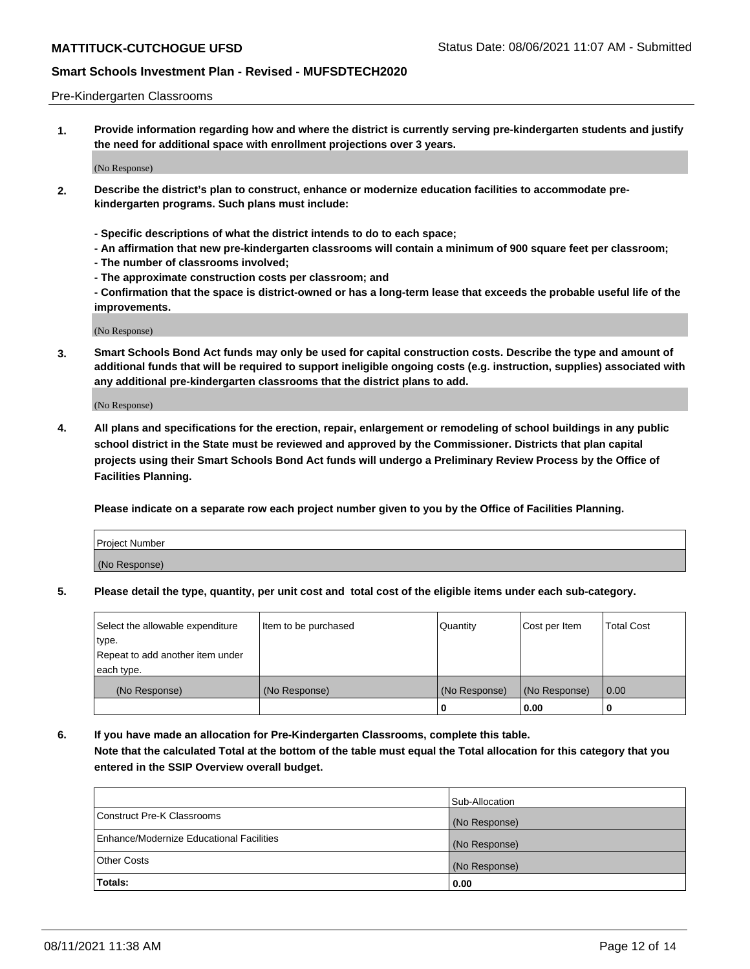#### Pre-Kindergarten Classrooms

**1. Provide information regarding how and where the district is currently serving pre-kindergarten students and justify the need for additional space with enrollment projections over 3 years.**

(No Response)

- **2. Describe the district's plan to construct, enhance or modernize education facilities to accommodate prekindergarten programs. Such plans must include:**
	- **Specific descriptions of what the district intends to do to each space;**
	- **An affirmation that new pre-kindergarten classrooms will contain a minimum of 900 square feet per classroom;**
	- **The number of classrooms involved;**
	- **The approximate construction costs per classroom; and**
	- **Confirmation that the space is district-owned or has a long-term lease that exceeds the probable useful life of the improvements.**

(No Response)

**3. Smart Schools Bond Act funds may only be used for capital construction costs. Describe the type and amount of additional funds that will be required to support ineligible ongoing costs (e.g. instruction, supplies) associated with any additional pre-kindergarten classrooms that the district plans to add.**

(No Response)

**4. All plans and specifications for the erection, repair, enlargement or remodeling of school buildings in any public school district in the State must be reviewed and approved by the Commissioner. Districts that plan capital projects using their Smart Schools Bond Act funds will undergo a Preliminary Review Process by the Office of Facilities Planning.**

**Please indicate on a separate row each project number given to you by the Office of Facilities Planning.**

| Project Number |  |
|----------------|--|
| (No Response)  |  |
|                |  |

**5. Please detail the type, quantity, per unit cost and total cost of the eligible items under each sub-category.**

| Select the allowable expenditure | Item to be purchased | Quantity      | Cost per Item | <b>Total Cost</b> |
|----------------------------------|----------------------|---------------|---------------|-------------------|
| type.                            |                      |               |               |                   |
| Repeat to add another item under |                      |               |               |                   |
| each type.                       |                      |               |               |                   |
| (No Response)                    | (No Response)        | (No Response) | (No Response) | 0.00              |
|                                  |                      | o             | 0.00          | u                 |

**6. If you have made an allocation for Pre-Kindergarten Classrooms, complete this table. Note that the calculated Total at the bottom of the table must equal the Total allocation for this category that you entered in the SSIP Overview overall budget.**

|                                          | Sub-Allocation |
|------------------------------------------|----------------|
| Construct Pre-K Classrooms               | (No Response)  |
| Enhance/Modernize Educational Facilities | (No Response)  |
| <b>Other Costs</b>                       | (No Response)  |
| Totals:                                  | 0.00           |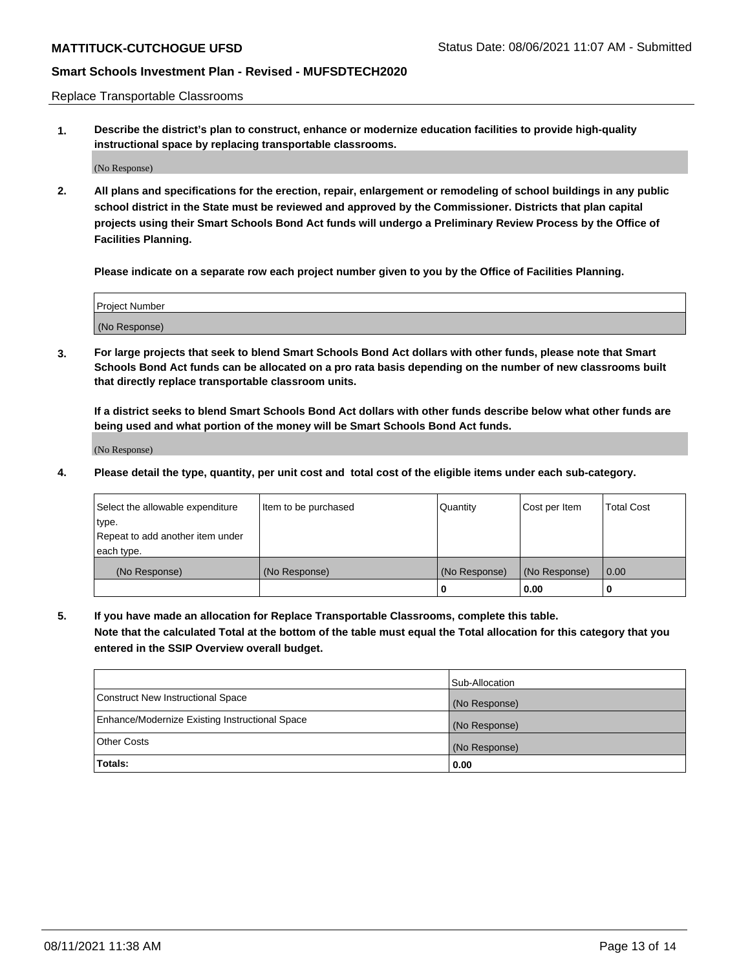Replace Transportable Classrooms

**1. Describe the district's plan to construct, enhance or modernize education facilities to provide high-quality instructional space by replacing transportable classrooms.**

(No Response)

**2. All plans and specifications for the erection, repair, enlargement or remodeling of school buildings in any public school district in the State must be reviewed and approved by the Commissioner. Districts that plan capital projects using their Smart Schools Bond Act funds will undergo a Preliminary Review Process by the Office of Facilities Planning.**

**Please indicate on a separate row each project number given to you by the Office of Facilities Planning.**

| Project Number |  |
|----------------|--|
|                |  |
| (No Response)  |  |

**3. For large projects that seek to blend Smart Schools Bond Act dollars with other funds, please note that Smart Schools Bond Act funds can be allocated on a pro rata basis depending on the number of new classrooms built that directly replace transportable classroom units.**

**If a district seeks to blend Smart Schools Bond Act dollars with other funds describe below what other funds are being used and what portion of the money will be Smart Schools Bond Act funds.**

(No Response)

**4. Please detail the type, quantity, per unit cost and total cost of the eligible items under each sub-category.**

| Select the allowable expenditure | Item to be purchased | Quantity      | Cost per Item | Total Cost |
|----------------------------------|----------------------|---------------|---------------|------------|
| ∣type.                           |                      |               |               |            |
| Repeat to add another item under |                      |               |               |            |
| each type.                       |                      |               |               |            |
| (No Response)                    | (No Response)        | (No Response) | (No Response) | 0.00       |
|                                  |                      | u             | 0.00          |            |

**5. If you have made an allocation for Replace Transportable Classrooms, complete this table. Note that the calculated Total at the bottom of the table must equal the Total allocation for this category that you entered in the SSIP Overview overall budget.**

|                                                | Sub-Allocation |
|------------------------------------------------|----------------|
| Construct New Instructional Space              | (No Response)  |
| Enhance/Modernize Existing Instructional Space | (No Response)  |
| Other Costs                                    | (No Response)  |
| Totals:                                        | 0.00           |